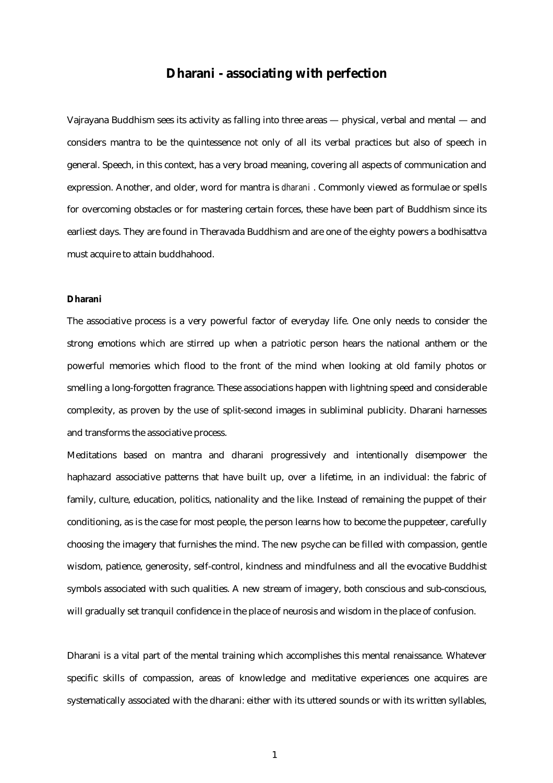## **Dharani - associating with perfection**

Vajrayana Buddhism sees its activity as falling into three areas — physical, verbal and mental — and considers mantra to be the quintessence not only of all its verbal practices but also of speech in general. Speech, in this context, has a very broad meaning, covering all aspects of communication and expression. Another, and older, word for mantra is *dharani* . Commonly viewed as formulae or spells for overcoming obstacles or for mastering certain forces, these have been part of Buddhism since its earliest days. They are found in Theravada Buddhism and are one of the eighty powers a bodhisattva must acquire to attain buddhahood.

## **Dharani**

The associative process is a very powerful factor of everyday life. One only needs to consider the strong emotions which are stirred up when a patriotic person hears the national anthem or the powerful memories which flood to the front of the mind when looking at old family photos or smelling a long-forgotten fragrance. These associations happen with lightning speed and considerable complexity, as proven by the use of split-second images in subliminal publicity. Dharani harnesses and transforms the associative process.

Meditations based on mantra and dharani progressively and intentionally disempower the haphazard associative patterns that have built up, over a lifetime, in an individual: the fabric of family, culture, education, politics, nationality and the like. Instead of remaining the puppet of their conditioning, as is the case for most people, the person learns how to become the puppeteer, carefully choosing the imagery that furnishes the mind. The new psyche can be filled with compassion, gentle wisdom, patience, generosity, self-control, kindness and mindfulness and all the evocative Buddhist symbols associated with such qualities. A new stream of imagery, both conscious and sub-conscious, will gradually set tranquil confidence in the place of neurosis and wisdom in the place of confusion.

Dharani is a vital part of the mental training which accomplishes this mental renaissance. Whatever specific skills of compassion, areas of knowledge and meditative experiences one acquires are systematically associated with the dharani: either with its uttered sounds or with its written syllables,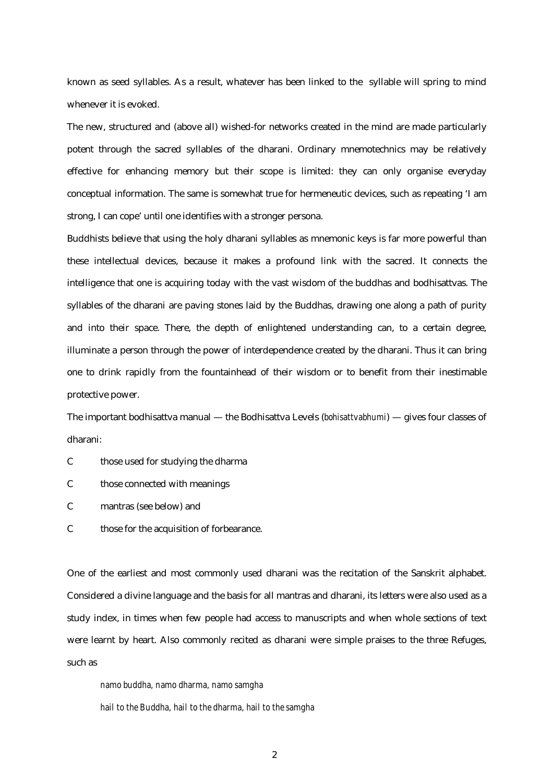known as seed syllables. As a result, whatever has been linked to the syllable will spring to mind whenever it is evoked.

The new, structured and (above all) wished-for networks created in the mind are made particularly potent through the sacred syllables of the dharani. Ordinary mnemotechnics may be relatively effective for enhancing memory but their scope is limited: they can only organise everyday conceptual information. The same is somewhat true for hermeneutic devices, such as repeating 'I am strong, I can cope' until one identifies with a stronger persona.

Buddhists believe that using the holy dharani syllables as mnemonic keys is far more powerful than these intellectual devices, because it makes a profound link with the sacred. It connects the intelligence that one is acquiring today with the vast wisdom of the buddhas and bodhisattvas. The syllables of the dharani are paving stones laid by the Buddhas, drawing one along a path of purity and into their space. There, the depth of enlightened understanding can, to a certain degree, illuminate a person through the power of interdependence created by the dharani. Thus it can bring one to drink rapidly from the fountainhead of their wisdom or to benefit from their inestimable protective power.

The important bodhisattva manual — the Bodhisattva Levels (*bohisattvabhumi*) — gives four classes of dharani:

- C those used for studying the dharma
- C those connected with meanings
- C mantras (see below) and
- C those for the acquisition of forbearance.

One of the earliest and most commonly used dharani was the recitation of the Sanskrit alphabet. Considered a divine language and the basis for all mantras and dharani, its letters were also used as a study index, in times when few people had access to manuscripts and when whole sections of text were learnt by heart. Also commonly recited as dharani were simple praises to the three Refuges, such as

*namo buddha, namo dharma, namo samgha hail to the Buddha, hail to the dharma, hail to the samgha*

2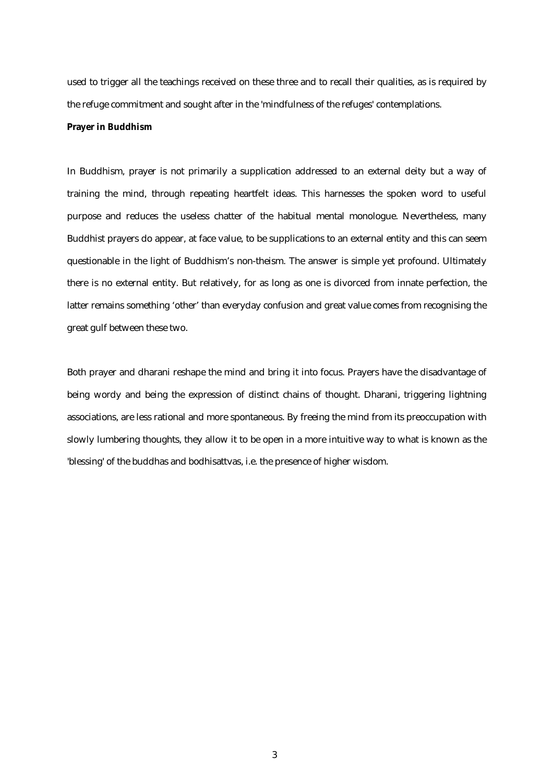used to trigger all the teachings received on these three and to recall their qualities, as is required by the refuge commitment and sought after in the 'mindfulness of the refuges' contemplations.

## **Prayer in Buddhism**

In Buddhism, prayer is not primarily a supplication addressed to an external deity but a way of training the mind, through repeating heartfelt ideas. This harnesses the spoken word to useful purpose and reduces the useless chatter of the habitual mental monologue. Nevertheless, many Buddhist prayers do appear, at face value, to be supplications to an external entity and this can seem questionable in the light of Buddhism's non-theism. The answer is simple yet profound. Ultimately there is no external entity. But relatively, for as long as one is divorced from innate perfection, the latter remains something 'other' than everyday confusion and great value comes from recognising the great gulf between these two.

Both prayer and dharani reshape the mind and bring it into focus. Prayers have the disadvantage of being wordy and being the expression of distinct chains of thought. Dharani, triggering lightning associations, are less rational and more spontaneous. By freeing the mind from its preoccupation with slowly lumbering thoughts, they allow it to be open in a more intuitive way to what is known as the 'blessing' of the buddhas and bodhisattvas, i.e. the presence of higher wisdom.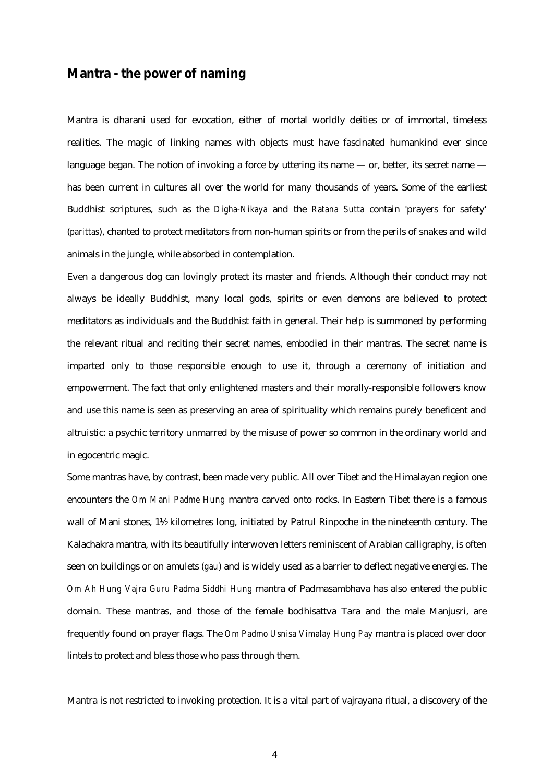## **Mantra - the power of naming**

Mantra is dharani used for evocation, either of mortal worldly deities or of immortal, timeless realities. The magic of linking names with objects must have fascinated humankind ever since language began. The notion of invoking a force by uttering its name  $-$  or, better, its secret name  $$ has been current in cultures all over the world for many thousands of years. Some of the earliest Buddhist scriptures, such as the *Digha-Nikaya* and the *Ratana Sutta* contain 'prayers for safety' (*parittas*), chanted to protect meditators from non-human spirits or from the perils of snakes and wild animals in the jungle, while absorbed in contemplation.

Even a dangerous dog can lovingly protect its master and friends. Although their conduct may not always be ideally Buddhist, many local gods, spirits or even demons are believed to protect meditators as individuals and the Buddhist faith in general. Their help is summoned by performing the relevant ritual and reciting their secret names, embodied in their mantras. The secret name is imparted only to those responsible enough to use it, through a ceremony of initiation and empowerment. The fact that only enlightened masters and their morally-responsible followers know and use this name is seen as preserving an area of spirituality which remains purely beneficent and altruistic: a psychic territory unmarred by the misuse of power so common in the ordinary world and in egocentric magic.

Some mantras have, by contrast, been made very public. All over Tibet and the Himalayan region one encounters the *Om Mani Padme Hung* mantra carved onto rocks. In Eastern Tibet there is a famous wall of Mani stones, 1½ kilometres long, initiated by Patrul Rinpoche in the nineteenth century. The Kalachakra mantra, with its beautifully interwoven letters reminiscent of Arabian calligraphy, is often seen on buildings or on amulets (*gau*) and is widely used as a barrier to deflect negative energies. The *Om Ah Hung Vajra Guru Padma Siddhi Hung* mantra of Padmasambhava has also entered the public domain. These mantras, and those of the female bodhisattva Tara and the male Manjusri, are frequently found on prayer flags. The *Om Padmo Usnisa Vimalay Hung Pay* mantra is placed over door lintels to protect and bless those who pass through them.

Mantra is not restricted to invoking protection. It is a vital part of vajrayana ritual, a discovery of the